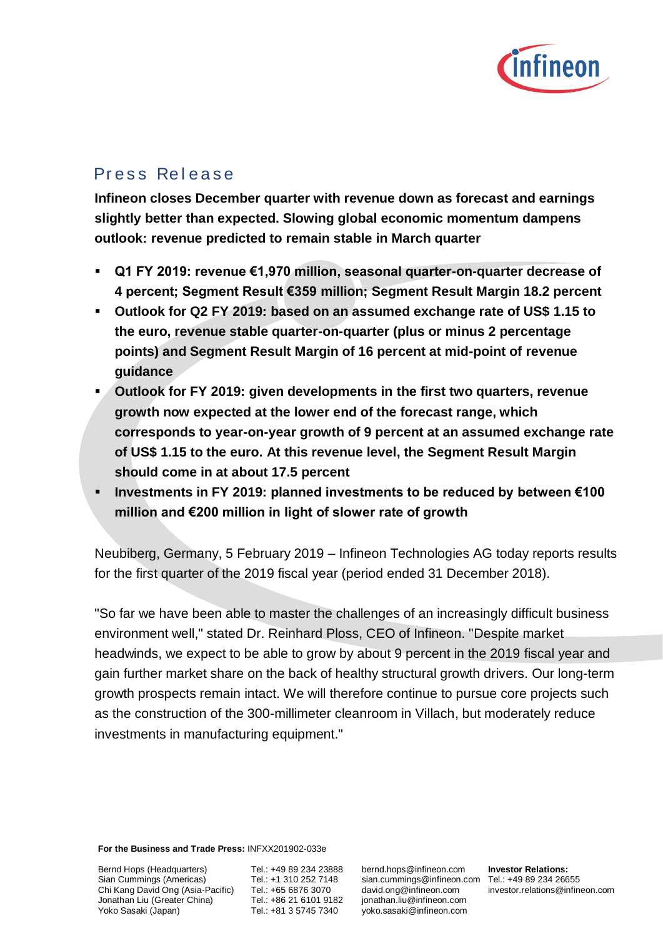

# Press Release

**Infineon closes December quarter with revenue down as forecast and earnings slightly better than expected. Slowing global economic momentum dampens outlook: revenue predicted to remain stable in March quarter**

- Q1 FY 2019: revenue €1,970 million, seasonal quarter-on-quarter decrease of **4 percent; Segment Result €359 million; Segment Result Margin 18.2 percent**
- **Outlook for Q2 FY 2019: based on an assumed exchange rate of US\$ 1.15 to the euro, revenue stable quarter-on-quarter (plus or minus 2 percentage points) and Segment Result Margin of 16 percent at mid-point of revenue guidance**
- **Outlook for FY 2019: given developments in the first two quarters, revenue growth now expected at the lower end of the forecast range, which corresponds to year-on-year growth of 9 percent at an assumed exchange rate of US\$ 1.15 to the euro. At this revenue level, the Segment Result Margin should come in at about 17.5 percent**
- Investments in FY 2019: planned investments to be reduced by between €100 **million and €200 million in light of slower rate of growth**

Neubiberg, Germany, 5 February 2019 – Infineon Technologies AG today reports results for the first quarter of the 2019 fiscal year (period ended 31 December 2018).

"So far we have been able to master the challenges of an increasingly difficult business environment well," stated Dr. Reinhard Ploss, CEO of Infineon. "Despite market headwinds, we expect to be able to grow by about 9 percent in the 2019 fiscal year and gain further market share on the back of healthy structural growth drivers. Our long-term growth prospects remain intact. We will therefore continue to pursue core projects such as the construction of the 300-millimeter cleanroom in Villach, but moderately reduce investments in manufacturing equipment."

**For the Business and Trade Press:** INFXX201902-033e

Bernd Hops (Headquarters) Sian Cummings (Americas) Chi Kang David Ong (Asia-Pacific) Jonathan Liu (Greater China) Yoko Sasaki (Japan)

Tel.: +49 89 234 23888 Tel.: +1 310 252 7148 Tel.: +65 6876 3070 Tel.: +86 21 6101 9182 Tel.: +81 3 5745 7340

bernd.hops@infineon.com sian.cummings@infineon.com Tel.: +49 89 234 26655 david.ong@infineon.com jonathan.liu@infineon.com yoko.sasaki@infineon.com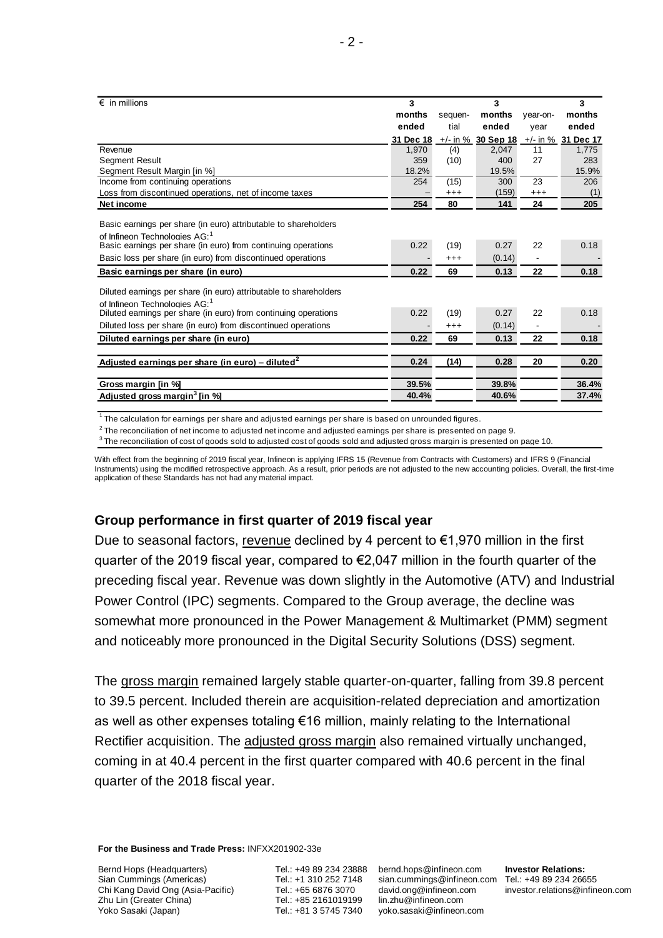| $\epsilon$ in millions                                                                                       | 3         |          | 3                    |          | 3                  |
|--------------------------------------------------------------------------------------------------------------|-----------|----------|----------------------|----------|--------------------|
|                                                                                                              | months    | sequen-  | months               | year-on- | months             |
|                                                                                                              | ended     | tial     | ended                | year     | ended              |
|                                                                                                              | 31 Dec 18 |          | $+/-$ in % 30 Sep 18 |          | +/- in % 31 Dec 17 |
| Revenue                                                                                                      | 1.970     | (4)      | 2.047                | 11       | 1.775              |
| <b>Segment Result</b>                                                                                        | 359       | (10)     | 400                  | 27       | 283                |
| Segment Result Margin [in %]                                                                                 | 18.2%     |          | 19.5%                |          | 15.9%              |
| Income from continuing operations                                                                            | 254       | (15)     | 300                  | 23       | 206                |
| Loss from discontinued operations, net of income taxes                                                       |           | $^{+++}$ | (159)                | $^{+++}$ | (1)                |
| Net income                                                                                                   | 254       | 80       | 141                  | 24       | 205                |
|                                                                                                              |           |          |                      |          |                    |
| Basic earnings per share (in euro) attributable to shareholders                                              |           |          |                      |          |                    |
| of Infineon Technologies AG: <sup>1</sup>                                                                    |           |          |                      |          |                    |
| Basic earnings per share (in euro) from continuing operations                                                | 0.22      | (19)     | 0.27                 | 22       | 0.18               |
| Basic loss per share (in euro) from discontinued operations                                                  |           | $^{+++}$ | (0.14)               |          |                    |
| Basic earnings per share (in euro)                                                                           | 0.22      | 69       | 0.13                 | 22       | 0.18               |
|                                                                                                              |           |          |                      |          |                    |
| Diluted earnings per share (in euro) attributable to shareholders                                            |           |          |                      |          |                    |
| of Infineon Technologies AG: <sup>1</sup><br>Diluted earnings per share (in euro) from continuing operations | 0.22      | (19)     | 0.27                 | 22       | 0.18               |
|                                                                                                              |           |          |                      |          |                    |
| Diluted loss per share (in euro) from discontinued operations                                                |           | $^{+++}$ | (0.14)               |          |                    |
| Diluted earnings per share (in euro)                                                                         | 0.22      | 69       | 0.13                 | 22       | 0.18               |
| <u>Adjusted earnings per share (in euro) – diluted<sup>2</sup></u>                                           | 0.24      | (14)     | 0.28                 | 20       | 0.20               |
|                                                                                                              |           |          |                      |          |                    |
| Gross margin [in %]                                                                                          | 39.5%     |          | 39.8%                |          | 36.4%              |
| Adjusted gross margin <sup>3</sup> [in %]                                                                    | 40.4%     |          | 40.6%                |          | 37.4%              |

 $^1$  The calculation for earnings per share and adjusted earnings per share is based on unrounded figures.

 $^2$  The reconciliation of net income to adjusted net income and adjusted earnings per share is presented on page 9.

 $^3$  The reconciliation of cost of goods sold to adjusted cost of goods sold and adjusted gross margin is presented on page 10.

With effect from the beginning of 2019 fiscal year, Infineon is applying IFRS 15 (Revenue from Contracts with Customers) and IFRS 9 (Financial Instruments) using the modified retrospective approach. As a result, prior periods are not adjusted to the new accounting policies. Overall, the first-time application of these Standards has not had any material impact.

#### **Group performance in first quarter of 2019 fiscal year**

Due to seasonal factors, revenue declined by 4 percent to  $\epsilon$ 1,970 million in the first quarter of the 2019 fiscal year, compared to €2,047 million in the fourth quarter of the preceding fiscal year. Revenue was down slightly in the Automotive (ATV) and Industrial Power Control (IPC) segments. Compared to the Group average, the decline was somewhat more pronounced in the Power Management & Multimarket (PMM) segment and noticeably more pronounced in the Digital Security Solutions (DSS) segment.

The gross margin remained largely stable quarter-on-quarter, falling from 39.8 percent to 39.5 percent. Included therein are acquisition-related depreciation and amortization as well as other expenses totaling €16 million, mainly relating to the International Rectifier acquisition. The adjusted gross margin also remained virtually unchanged, coming in at 40.4 percent in the first quarter compared with 40.6 percent in the final quarter of the 2018 fiscal year.

**For the Business and Trade Press:** INFXX201902-33e

Bernd Hops (Headquarters) Sian Cummings (Americas) Chi Kang David Ong (Asia-Pacific) Zhu Lin (Greater China) Yoko Sasaki (Japan)

Tel.: +49 89 234 23888 bernd.hops@infineon.com Tel.: +1 310 252 7148 Tel.: +65 6876 3070 Tel.: +85 2161019199 Tel.: +81 3 5745 7340

sian.cummings@infineon.com Tel.: +49 89 234 26655 [david.ong@infineon.com](mailto:%0ddavid.ong@infineon.com) lin.zhu@infineon.com yoko.sasaki@infineon.com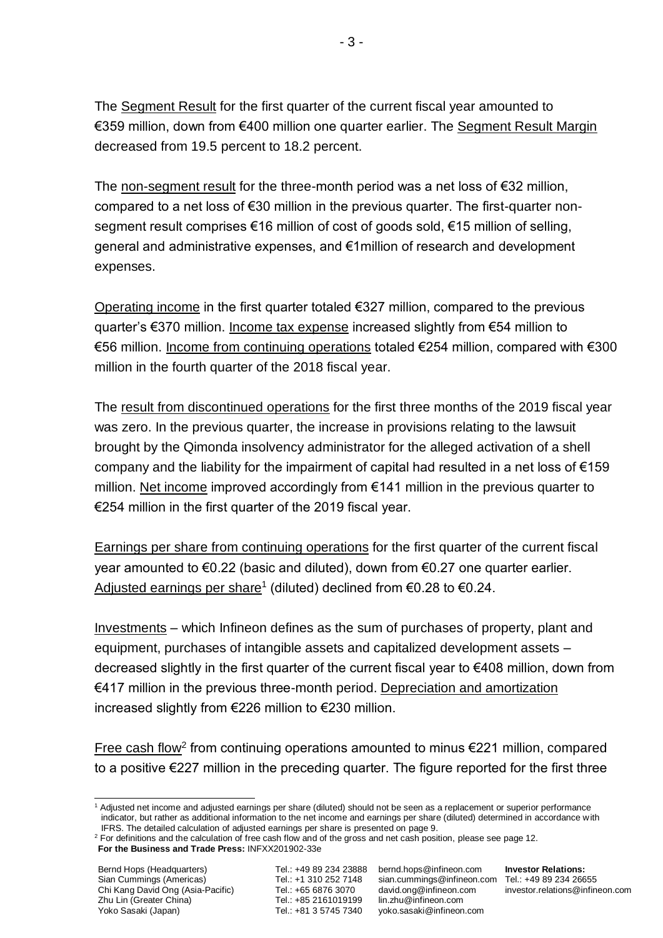The Segment Result for the first quarter of the current fiscal year amounted to €359 million, down from €400 million one quarter earlier. The Segment Result Margin decreased from 19.5 percent to 18.2 percent.

The non-segment result for the three-month period was a net loss of  $E$ 32 million, compared to a net loss of €30 million in the previous quarter. The first-quarter nonsegment result comprises €16 million of cost of goods sold, €15 million of selling, general and administrative expenses, and €1million of research and development expenses.

Operating income in the first quarter totaled €327 million, compared to the previous quarter's €370 million. Income tax expense increased slightly from €54 million to €56 million. Income from continuing operations totaled €254 million, compared with €300 million in the fourth quarter of the 2018 fiscal year.

The result from discontinued operations for the first three months of the 2019 fiscal year was zero. In the previous quarter, the increase in provisions relating to the lawsuit brought by the Qimonda insolvency administrator for the alleged activation of a shell company and the liability for the impairment of capital had resulted in a net loss of  $€159$ million. Net income improved accordingly from €141 million in the previous quarter to €254 million in the first quarter of the 2019 fiscal year.

Earnings per share from continuing operations for the first quarter of the current fiscal year amounted to €0.22 (basic and diluted), down from €0.27 one quarter earlier. Adjusted earnings per share<sup>1</sup> (diluted) declined from €0.28 to €0.24.

Investments – which Infineon defines as the sum of purchases of property, plant and equipment, purchases of intangible assets and capitalized development assets – decreased slightly in the first quarter of the current fiscal year to €408 million, down from €417 million in the previous three-month period. Depreciation and amortization increased slightly from €226 million to €230 million.

Free cash flow<sup>2</sup> from continuing operations amounted to minus  $E$ 221 million, compared to a positive €227 million in the preceding quarter. The figure reported for the first three

**For the Business and Trade Press:** INFXX201902-33e

 $\overline{a}$ 

<sup>1</sup> Adjusted net income and adjusted earnings per share (diluted) should not be seen as a replacement or superior performance indicator, but rather as additional information to the net income and earnings per share (diluted) determined in accordance with IFRS. The detailed calculation of adjusted earnings per share is presented on page 9.

 $2$  For definitions and the calculation of free cash flow and of the gross and net cash position, please see page 12.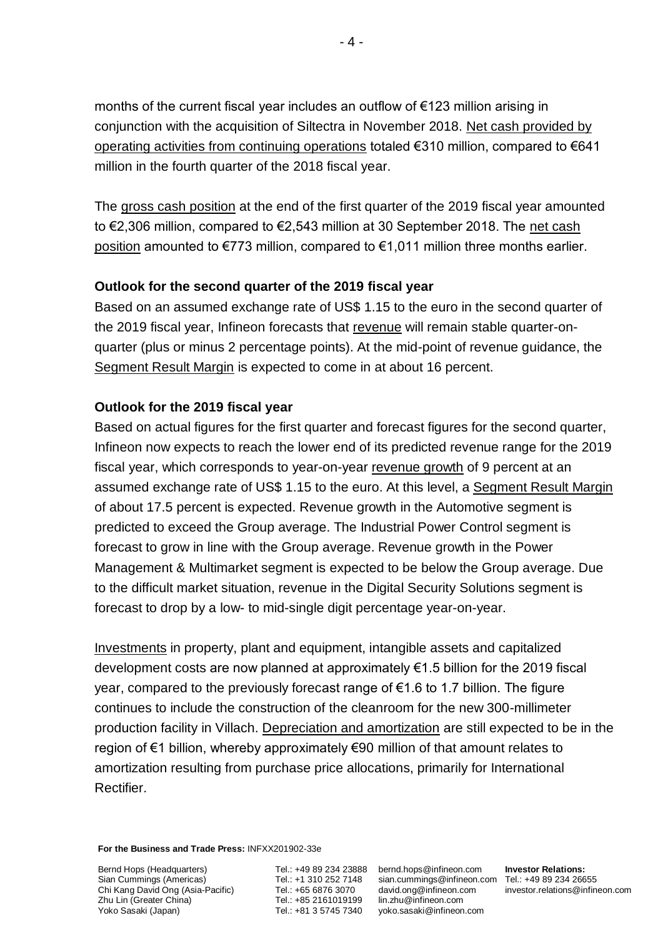months of the current fiscal year includes an outflow of €123 million arising in conjunction with the acquisition of Siltectra in November 2018. Net cash provided by operating activities from continuing operations totaled €310 million, compared to €641 million in the fourth quarter of the 2018 fiscal year.

The gross cash position at the end of the first quarter of the 2019 fiscal year amounted to €2,306 million, compared to €2,543 million at 30 September 2018. The net cash position amounted to €773 million, compared to €1,011 million three months earlier.

# **Outlook for the second quarter of the 2019 fiscal year**

Based on an assumed exchange rate of US\$ 1.15 to the euro in the second quarter of the 2019 fiscal year, Infineon forecasts that revenue will remain stable quarter-onquarter (plus or minus 2 percentage points). At the mid-point of revenue guidance, the Segment Result Margin is expected to come in at about 16 percent.

# **Outlook for the 2019 fiscal year**

Based on actual figures for the first quarter and forecast figures for the second quarter, Infineon now expects to reach the lower end of its predicted revenue range for the 2019 fiscal year, which corresponds to year-on-year revenue growth of 9 percent at an assumed exchange rate of US\$ 1.15 to the euro. At this level, a Segment Result Margin of about 17.5 percent is expected. Revenue growth in the Automotive segment is predicted to exceed the Group average. The Industrial Power Control segment is forecast to grow in line with the Group average. Revenue growth in the Power Management & Multimarket segment is expected to be below the Group average. Due to the difficult market situation, revenue in the Digital Security Solutions segment is forecast to drop by a low- to mid-single digit percentage year-on-year.

Investments in property, plant and equipment, intangible assets and capitalized development costs are now planned at approximately €1.5 billion for the 2019 fiscal year, compared to the previously forecast range of €1.6 to 1.7 billion. The figure continues to include the construction of the cleanroom for the new 300-millimeter production facility in Villach. Depreciation and amortization are still expected to be in the region of €1 billion, whereby approximately €90 million of that amount relates to amortization resulting from purchase price allocations, primarily for International Rectifier.

**For the Business and Trade Press:** INFXX201902-33e

Bernd Hops (Headquarters) Sian Cummings (Americas) Chi Kang David Ong (Asia-Pacific) Zhu Lin (Greater China) Yoko Sasaki (Japan)

Tel.: +49 89 234 23888 bernd.hops@infineon.com Tel.: +1 310 252 7148 Tel.: +65 6876 3070 Tel.: +85 2161019199 Tel.: +81 3 5745 7340

sian.cummings@infineon.com Tel.: +49 89 234 26655 [david.ong@infineon.com](mailto:%0ddavid.ong@infineon.com) lin.zhu@infineon.com yoko.sasaki@infineon.com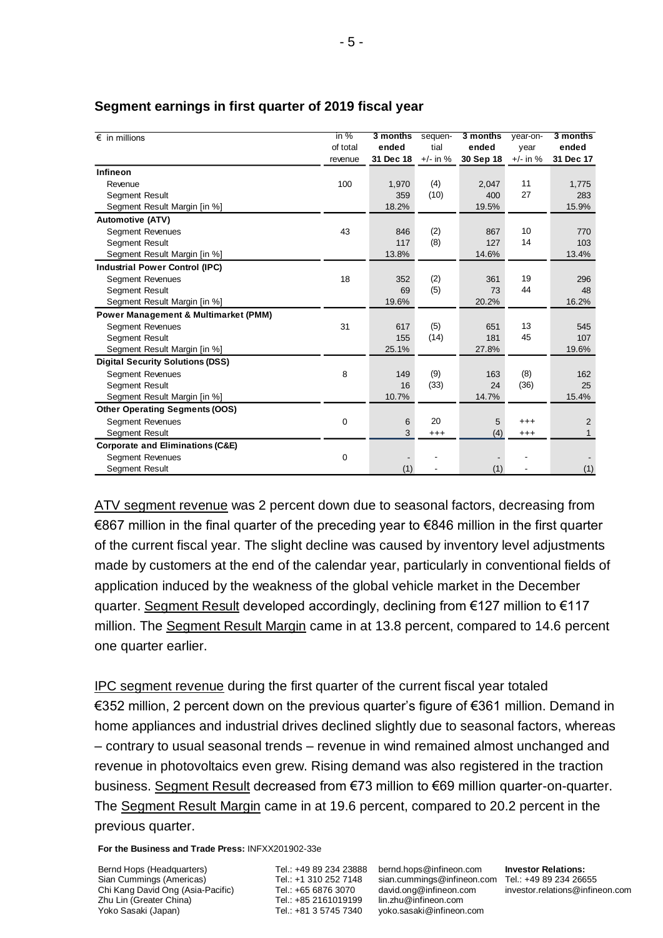| $\epsilon$ in millions                          | in %<br>of total<br>revenue | 3 months<br>ended<br>31 Dec 18 | sequen-<br>tial<br>$+/-$ in % | 3 months<br>ended<br>30 Sep 18 | year-on-<br>vear<br>$+/-$ in % | 3 months<br>ended<br>31 Dec 17 |
|-------------------------------------------------|-----------------------------|--------------------------------|-------------------------------|--------------------------------|--------------------------------|--------------------------------|
| Infineon                                        |                             |                                |                               |                                |                                |                                |
| Revenue                                         | 100                         | 1,970                          | (4)                           | 2.047                          | 11                             | 1,775                          |
| <b>Segment Result</b>                           |                             | 359                            | (10)                          | 400                            | 27                             | 283                            |
| Segment Result Margin [in %]                    |                             | 18.2%                          |                               | 19.5%                          |                                | 15.9%                          |
| <b>Automotive (ATV)</b>                         |                             |                                |                               |                                |                                |                                |
| <b>Segment Revenues</b>                         | 43                          | 846                            | (2)                           | 867                            | 10                             | 770                            |
| <b>Segment Result</b>                           |                             | 117                            | (8)                           | 127                            | 14                             | 103                            |
| Segment Result Margin [in %]                    |                             | 13.8%                          |                               | 14.6%                          |                                | 13.4%                          |
| <b>Industrial Power Control (IPC)</b>           |                             |                                |                               |                                |                                |                                |
| <b>Segment Revenues</b>                         | 18                          | 352                            | (2)                           | 361                            | 19                             | 296                            |
| <b>Segment Result</b>                           |                             | 69                             | (5)                           | 73                             | 44                             | 48                             |
| Segment Result Margin [in %]                    |                             | 19.6%                          |                               | 20.2%                          |                                | 16.2%                          |
| <b>Power Management &amp; Multimarket (PMM)</b> |                             |                                |                               |                                |                                |                                |
| <b>Segment Revenues</b>                         | 31                          | 617                            | (5)                           | 651                            | 13                             | 545                            |
| <b>Segment Result</b>                           |                             | 155                            | (14)                          | 181                            | 45                             | 107                            |
| Segment Result Margin [in %]                    |                             | 25.1%                          |                               | 27.8%                          |                                | 19.6%                          |
| <b>Digital Security Solutions (DSS)</b>         |                             |                                |                               |                                |                                |                                |
| <b>Segment Revenues</b>                         | 8                           | 149                            | (9)                           | 163                            | (8)                            | 162                            |
| <b>Segment Result</b>                           |                             | 16                             | (33)                          | 24                             | (36)                           | 25                             |
| Segment Result Margin [in %]                    |                             | 10.7%                          |                               | 14.7%                          |                                | 15.4%                          |
| <b>Other Operating Segments (OOS)</b>           |                             |                                |                               |                                |                                |                                |
| <b>Segment Revenues</b>                         | $\mathbf 0$                 | 6                              | 20                            | 5                              | $^{+++}$                       | $\overline{2}$                 |
| <b>Segment Result</b>                           |                             | 3                              | $^{+++}$                      | (4)                            | $^{+++}$                       | $\mathbf{1}$                   |
| <b>Corporate and Eliminations (C&amp;E)</b>     |                             |                                |                               |                                |                                |                                |
| <b>Segment Revenues</b>                         | $\mathbf 0$                 |                                |                               |                                |                                |                                |
| <b>Segment Result</b>                           |                             | (1)                            |                               | (1)                            |                                | (1)                            |

# **Segment earnings in first quarter of 2019 fiscal year**

ATV segment revenue was 2 percent down due to seasonal factors, decreasing from €867 million in the final quarter of the preceding year to €846 million in the first quarter of the current fiscal year. The slight decline was caused by inventory level adjustments made by customers at the end of the calendar year, particularly in conventional fields of application induced by the weakness of the global vehicle market in the December quarter. Segment Result developed accordingly, declining from €127 million to €117 million. The Segment Result Margin came in at 13.8 percent, compared to 14.6 percent one quarter earlier.

IPC segment revenue during the first quarter of the current fiscal year totaled €352 million, 2 percent down on the previous quarter's figure of €361 million. Demand in home appliances and industrial drives declined slightly due to seasonal factors, whereas – contrary to usual seasonal trends – revenue in wind remained almost unchanged and revenue in photovoltaics even grew. Rising demand was also registered in the traction business. Segment Result decreased from €73 million to €69 million quarter-on-quarter. The Segment Result Margin came in at 19.6 percent, compared to 20.2 percent in the previous quarter.

**For the Business and Trade Press:** INFXX201902-33e

Bernd Hops (Headquarters) Sian Cummings (Americas) Chi Kang David Ong (Asia-Pacific) Zhu Lin (Greater China) Yoko Sasaki (Japan)

Tel.: +49 89 234 23888 bernd.hops@infineon.com Tel.: +1 310 252 7148 Tel.: +65 6876 3070 Tel.: +85 2161019199 Tel.: +81 3 5745 7340

sian.cummings@infineon.com Tel.: +49 89 234 26655 [david.ong@infineon.com](mailto:%0ddavid.ong@infineon.com) lin.zhu@infineon.com yoko.sasaki@infineon.com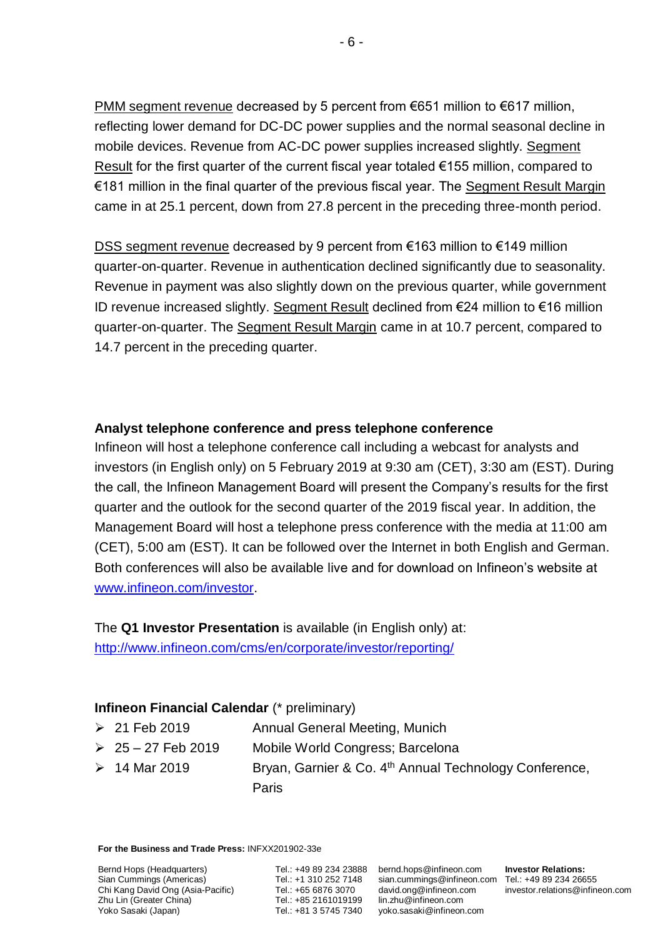PMM segment revenue decreased by 5 percent from €651 million to €617 million, reflecting lower demand for DC-DC power supplies and the normal seasonal decline in mobile devices. Revenue from AC-DC power supplies increased slightly. Segment Result for the first quarter of the current fiscal year totaled €155 million, compared to €181 million in the final quarter of the previous fiscal year. The Segment Result Margin came in at 25.1 percent, down from 27.8 percent in the preceding three-month period.

DSS segment revenue decreased by 9 percent from €163 million to €149 million quarter-on-quarter. Revenue in authentication declined significantly due to seasonality. Revenue in payment was also slightly down on the previous quarter, while government ID revenue increased slightly. Segment Result declined from €24 million to €16 million quarter-on-quarter. The Segment Result Margin came in at 10.7 percent, compared to 14.7 percent in the preceding quarter.

# **Analyst telephone conference and press telephone conference**

Infineon will host a telephone conference call including a webcast for analysts and investors (in English only) on 5 February 2019 at 9:30 am (CET), 3:30 am (EST). During the call, the Infineon Management Board will present the Company's results for the first quarter and the outlook for the second quarter of the 2019 fiscal year. In addition, the Management Board will host a telephone press conference with the media at 11:00 am (CET), 5:00 am (EST). It can be followed over the Internet in both English and German. Both conferences will also be available live and for download on Infineon's website at [www.infineon.com/investor.](http://www.infineon.com/investor)

The **Q1 Investor Presentation** is available (in English only) at: <http://www.infineon.com/cms/en/corporate/investor/reporting/>

# **Infineon Financial Calendar** (\* preliminary)

| $\geq 21$ Feb 2019      | Annual General Meeting, Munich                                     |
|-------------------------|--------------------------------------------------------------------|
| $\geq 25 - 27$ Feb 2019 | Mobile World Congress; Barcelona                                   |
| $> 14$ Mar 2019         | Bryan, Garnier & Co. 4 <sup>th</sup> Annual Technology Conference, |
|                         | Paris                                                              |

**For the Business and Trade Press:** INFXX201902-33e

Bernd Hops (Headquarters) Sian Cummings (Americas) Chi Kang David Ong (Asia-Pacific) Zhu Lin (Greater China) Yoko Sasaki (Japan)

Tel.: +49 89 234 23888 bernd.hops@infineon.com Tel.: +1 310 252 7148 Tel.: +65 6876 3070 Tel.: +85 2161019199 Tel.: +81 3 5745 7340

sian.cummings@infineon.com Tel.: +49 89 234 26655 [david.ong@infineon.com](mailto:%0ddavid.ong@infineon.com) lin.zhu@infineon.com yoko.sasaki@infineon.com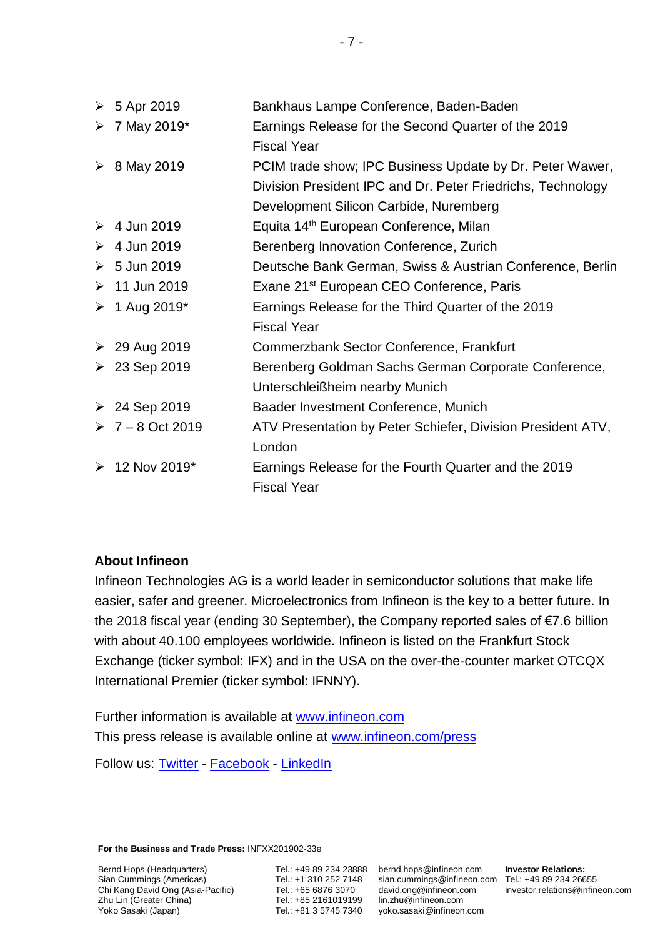| $\geqslant 5$ Apr 2019          | Bankhaus Lampe Conference, Baden-Baden                      |
|---------------------------------|-------------------------------------------------------------|
| $> 7$ May 2019*                 | Earnings Release for the Second Quarter of the 2019         |
|                                 | <b>Fiscal Year</b>                                          |
| $\geq 8$ May 2019               | PCIM trade show; IPC Business Update by Dr. Peter Wawer,    |
|                                 | Division President IPC and Dr. Peter Friedrichs, Technology |
|                                 | Development Silicon Carbide, Nuremberg                      |
| $\geq 4$ Jun 2019               | Equita 14 <sup>th</sup> European Conference, Milan          |
| $\geq 4$ Jun 2019               | Berenberg Innovation Conference, Zurich                     |
| $\geqslant 5$ Jun 2019          | Deutsche Bank German, Swiss & Austrian Conference, Berlin   |
| $\geq 11$ Jun 2019              | Exane 21 <sup>st</sup> European CEO Conference, Paris       |
| $\triangleright$ 1 Aug 2019*    | Earnings Release for the Third Quarter of the 2019          |
|                                 | <b>Fiscal Year</b>                                          |
| $\geq 29$ Aug 2019              | Commerzbank Sector Conference, Frankfurt                    |
| ▶ 23 Sep 2019                   | Berenberg Goldman Sachs German Corporate Conference,        |
|                                 | Unterschleißheim nearby Munich                              |
| ▶ 24 Sep 2019                   | Baader Investment Conference, Munich                        |
| $\triangleright$ 7 – 8 Oct 2019 | ATV Presentation by Peter Schiefer, Division President ATV, |
|                                 | London                                                      |
| $\geq 12$ Nov 2019*             | Earnings Release for the Fourth Quarter and the 2019        |
|                                 | <b>Fiscal Year</b>                                          |

# **About Infineon**

Infineon Technologies AG is a world leader in semiconductor solutions that make life easier, safer and greener. Microelectronics from Infineon is the key to a better future. In the 2018 fiscal year (ending 30 September), the Company reported sales of €7.6 billion with about 40.100 employees worldwide. Infineon is listed on the Frankfurt Stock Exchange (ticker symbol: IFX) and in the USA on the over-the-counter market OTCQX International Premier (ticker symbol: IFNNY).

Further information is available at [www.infineon.com](http://www.infineon.com/) This press release is available online at [www.infineon.com/press](http://www.infineon.com/press)

Follow us: [Twitter](https://twitter.com/Infineon) - [Facebook](https://www.facebook.com/Infineon) - [LinkedIn](https://www.linkedin.com/company-beta/2148/)

**For the Business and Trade Press:** INFXX201902-33e

Bernd Hops (Headquarters) Sian Cummings (Americas) Chi Kang David Ong (Asia-Pacific) Zhu Lin (Greater China) Yoko Sasaki (Japan)

Tel.: +49 89 234 23888 bernd.hops@infineon.com Tel.: +1 310 252 7148 Tel.: +65 6876 3070 Tel.: +85 2161019199 Tel.: +81 3 5745 7340

sian.cummings@infineon.com Tel.: +49 89 234 26655 [david.ong@infineon.com](mailto:%0ddavid.ong@infineon.com) lin.zhu@infineon.com yoko.sasaki@infineon.com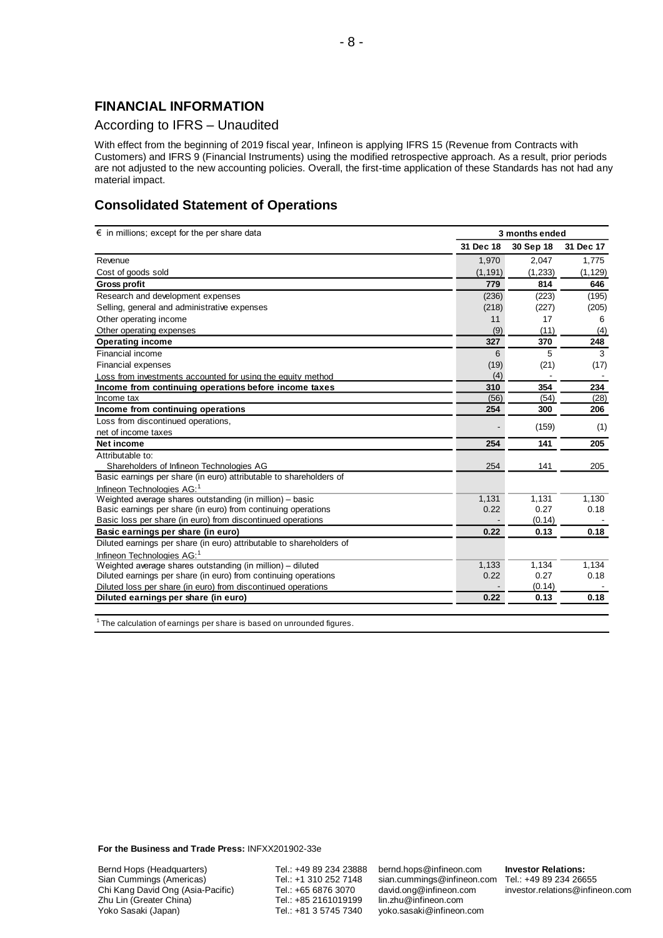# **FINANCIAL INFORMATION**

#### According to IFRS – Unaudited

With effect from the beginning of 2019 fiscal year, Infineon is applying IFRS 15 (Revenue from Contracts with Customers) and IFRS 9 (Financial Instruments) using the modified retrospective approach. As a result, prior periods are not adjusted to the new accounting policies. Overall, the first-time application of these Standards has not had any material impact.

# **Consolidated Statement of Operations**

| $\epsilon$ in millions; except for the per share data                | 3 months ended |                |           |
|----------------------------------------------------------------------|----------------|----------------|-----------|
|                                                                      | 31 Dec 18      | 30 Sep 18      | 31 Dec 17 |
| Revenue                                                              | 1,970          | 2,047          | 1,775     |
| Cost of goods sold                                                   | (1, 191)       | (1, 233)       | (1, 129)  |
| <b>Gross profit</b>                                                  | 779            | 814            | 646       |
| Research and development expenses                                    | (236)          | (223)          | (195)     |
| Selling, general and administrative expenses                         | (218)          | (227)          | (205)     |
| Other operating income                                               | 11             | 17             | 6         |
| Other operating expenses                                             | (9)            | (11)           | (4)       |
| <b>Operating income</b>                                              | 327            | 370            | 248       |
| Financial income                                                     | 6              | 5              | 3         |
| <b>Financial expenses</b>                                            | (19)           | (21)           | (17)      |
| Loss from investments accounted for using the equity method          | (4)            | $\blacksquare$ |           |
| Income from continuing operations before income taxes                | 310            | 354            | 234       |
| Income tax                                                           | (56)           | (54)           | (28)      |
| Income from continuing operations                                    | 254            | 300            | 206       |
| Loss from discontinued operations,                                   |                | (159)          | (1)       |
| net of income taxes                                                  |                |                |           |
| Net income                                                           | 254            | 141            | 205       |
| Attributable to:                                                     |                |                |           |
| Shareholders of Infineon Technologies AG                             | 254            | 141            | 205       |
| Basic earnings per share (in euro) attributable to shareholders of   |                |                |           |
| Infineon Technologies AG: <sup>1</sup>                               |                |                |           |
| Weighted average shares outstanding (in million) - basic             | 1,131          | 1,131          | 1,130     |
| Basic earnings per share (in euro) from continuing operations        | 0.22           | 0.27           | 0.18      |
| Basic loss per share (in euro) from discontinued operations          |                | (0.14)         |           |
| Basic earnings per share (in euro)                                   | 0.22           | 0.13           | 0.18      |
| Diluted earnings per share (in euro) attributable to shareholders of |                |                |           |
| Infineon Technologies AG: <sup>1</sup>                               |                |                |           |
| Weighted average shares outstanding (in million) - diluted           | 1,133          | 1,134          | 1,134     |
| Diluted earnings per share (in euro) from continuing operations      | 0.22           | 0.27           | 0.18      |
| Diluted loss per share (in euro) from discontinued operations        |                | (0.14)         |           |
| Diluted earnings per share (in euro)                                 | 0.22           | 0.13           | 0.18      |
|                                                                      |                |                |           |

 $1$  The calculation of earnings per share is based on unrounded figures.

**For the Business and Trade Press:** INFXX201902-33e

Bernd Hops (Headquarters) Sian Cummings (Americas) Chi Kang David Ong (Asia-Pacific) Zhu Lin (Greater China) Yoko Sasaki (Japan)

Tel.: +49 89 234 23888 Tel.: +1 310 252 7148 Tel.: +65 6876 3070 Tel.: +85 2161019199 Tel.: +81 3 5745 7340

bernd.hops@infineon.com sian.cummings@infineon.com [david.ong@infineon.com](mailto:%0ddavid.ong@infineon.com) lin.zhu@infineon.com yoko.sasaki@infineon.com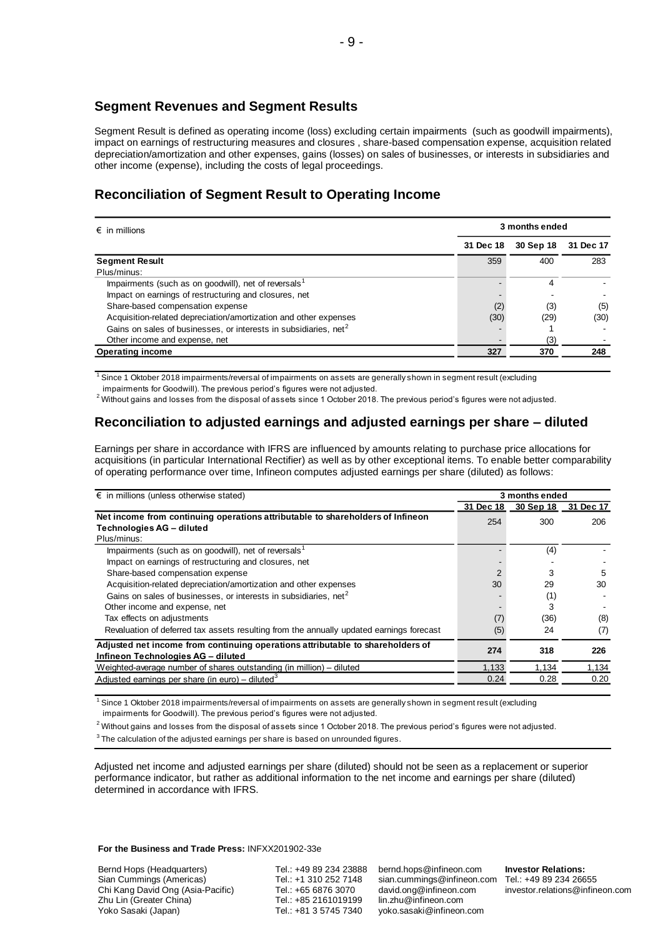### **Segment Revenues and Segment Results**

Segment Result is defined as operating income (loss) excluding certain impairments (such as goodwill impairments), impact on earnings of restructuring measures and closures , share-based compensation expense, acquisition related depreciation/amortization and other expenses, gains (losses) on sales of businesses, or interests in subsidiaries and other income (expense), including the costs of legal proceedings.

# **Reconciliation of Segment Result to Operating Income**

| $\epsilon$ in millions                                                       |           | 3 months ended |           |  |  |  |
|------------------------------------------------------------------------------|-----------|----------------|-----------|--|--|--|
|                                                                              | 31 Dec 18 | 30 Sep 18      | 31 Dec 17 |  |  |  |
| <b>Segment Result</b>                                                        | 359       | 400            | 283       |  |  |  |
| Plus/minus:                                                                  |           |                |           |  |  |  |
| Impairments (such as on goodwill), net of reversals <sup>1</sup>             |           | 4              |           |  |  |  |
| Impact on earnings of restructuring and closures, net                        |           |                |           |  |  |  |
| Share-based compensation expense                                             | (2)       | (3)            | (5)       |  |  |  |
| Acquisition-related depreciation/amortization and other expenses             | (30)      | (29)           | (30)      |  |  |  |
| Gains on sales of businesses, or interests in subsidiaries, net <sup>2</sup> |           |                |           |  |  |  |
| Other income and expense, net                                                |           | (3)            |           |  |  |  |
| <b>Operating income</b>                                                      | 327       | 370            | 248       |  |  |  |

<sup>1</sup> Since 1 Oktober 2018 impairments/reversal of impairments on assets are generally shown in segment result (excluding

impairments for Goodwill). The previous period's figures were not adjusted.

 $^2$  Without gains and losses from the disposal of assets since 1 October 2018. The previous period's figures were not adjusted.

# **Reconciliation to adjusted earnings and adjusted earnings per share – diluted**

Earnings per share in accordance with IFRS are influenced by amounts relating to purchase price allocations for acquisitions (in particular International Rectifier) as well as by other exceptional items. To enable better comparability of operating performance over time, Infineon computes adjusted earnings per share (diluted) as follows:

| $\epsilon$ in millions (unless otherwise stated)                                                                     |               | 3 months ended      |       |
|----------------------------------------------------------------------------------------------------------------------|---------------|---------------------|-------|
|                                                                                                                      | 31 Dec 18     | 30 Sep 18 31 Dec 17 |       |
| Net income from continuing operations attributable to shareholders of Infineon<br>Technologies AG - diluted          | 254           | 300                 | 206   |
| Plus/minus:                                                                                                          |               |                     |       |
| Impairments (such as on goodwill), net of reversals <sup>1</sup>                                                     |               | (4)                 |       |
| Impact on earnings of restructuring and closures, net                                                                |               |                     |       |
| Share-based compensation expense                                                                                     | $\mathcal{P}$ | 3                   | 5     |
| Acquisition-related depreciation/amortization and other expenses                                                     | 30            | 29                  | 30    |
| Gains on sales of businesses, or interests in subsidiaries, net <sup>2</sup>                                         |               | (1)                 |       |
| Other income and expense, net                                                                                        |               | 3                   |       |
| Tax effects on adjustments                                                                                           | (7)           | (36)                | (8)   |
| Revaluation of deferred tax assets resulting from the annually updated earnings forecast                             | (5)           | 24                  | (7)   |
| Adjusted net income from continuing operations attributable to shareholders of<br>Infineon Technologies AG - diluted | 274           | 318                 | 226   |
| Weighted-average number of shares outstanding (in million) - diluted                                                 | 1,133         | 1.134               | 1,134 |
| Adjusted earnings per share (in euro) – diluted <sup>3</sup>                                                         | 0.24          | 0.28                | 0.20  |

1 Since 1 Oktober 2018 impairments/reversal of impairments on assets are generally shown in segment result (excluding impairments for Goodwill). The previous period's figures were not adjusted.

 $^2$  Without gains and losses from the disposal of assets since 1 October 2018. The previous period's figures were not adjusted.

 $3$  The calculation of the adjusted earnings per share is based on unrounded figures.

Adjusted net income and adjusted earnings per share (diluted) should not be seen as a replacement or superior performance indicator, but rather as additional information to the net income and earnings per share (diluted) determined in accordance with IFRS.

**For the Business and Trade Press:** INFXX201902-33e

Bernd Hops (Headquarters) Sian Cummings (Americas) Chi Kang David Ong (Asia-Pacific) Zhu Lin (Greater China) Yoko Sasaki (Japan)

Tel.: +49 89 234 23888 Tel.: +1 310 252 7148 Tel.: +65 6876 3070 Tel.: +85 2161019199 Tel.: +81 3 5745 7340

bernd.hops@infineon.com sian.cummings@infineon.com [david.ong@infineon.com](mailto:%0ddavid.ong@infineon.com) lin.zhu@infineon.com yoko.sasaki@infineon.com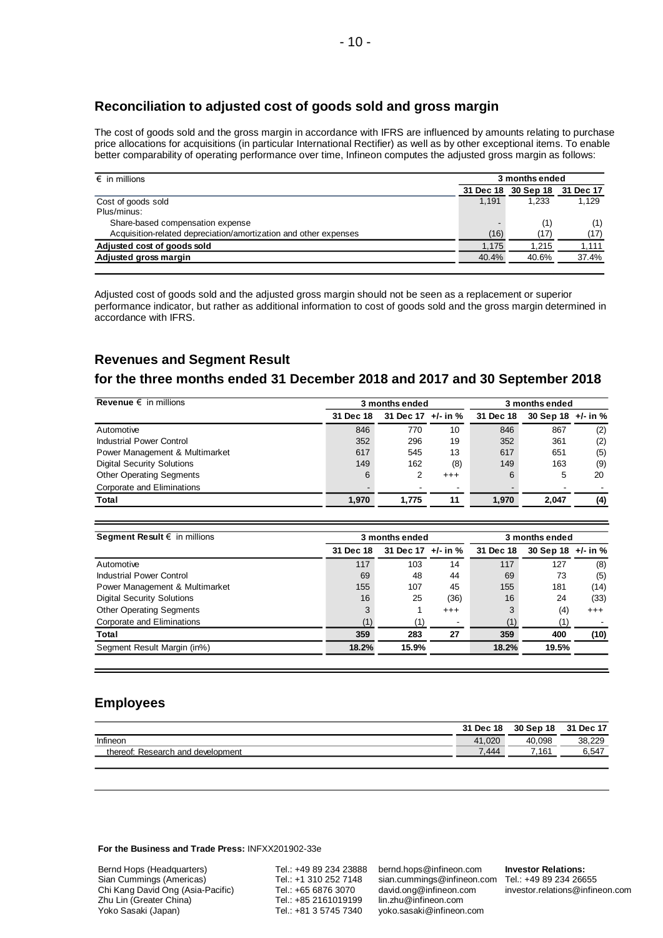# **Reconciliation to adjusted cost of goods sold and gross margin**

The cost of goods sold and the gross margin in accordance with IFRS are influenced by amounts relating to purchase price allocations for acquisitions (in particular International Rectifier) as well as by other exceptional items. To enable better comparability of operating performance over time, Infineon computes the adjusted gross margin as follows:

| $\epsilon$ in millions                                           | 3 months ended |           |           |
|------------------------------------------------------------------|----------------|-----------|-----------|
|                                                                  | 31 Dec 18      | 30 Sep 18 | 31 Dec 17 |
| Cost of goods sold                                               | 1.191          | 1.233     | 1,129     |
| Plus/minus:                                                      |                |           |           |
| Share-based compensation expense                                 |                | (1)       | (1)       |
| Acquisition-related depreciation/amortization and other expenses | (16)           | (17)      | (17)      |
| Adjusted cost of goods sold                                      | 1,175          | 1,215     | 1,111     |
| Adjusted gross margin                                            | 40.4%          | 40.6%     | 37.4%     |

Adjusted cost of goods sold and the adjusted gross margin should not be seen as a replacement or superior performance indicator, but rather as additional information to cost of goods sold and the gross margin determined in accordance with IFRS.

# **Revenues and Segment Result**

#### **for the three months ended 31 December 2018 and 2017 and 30 September 2018**

| Revenue $\epsilon$ in millions    | 3 months ended |                    |          |           | 3 months ended       |     |  |
|-----------------------------------|----------------|--------------------|----------|-----------|----------------------|-----|--|
|                                   | 31 Dec 18      | 31 Dec 17 +/- in % |          | 31 Dec 18 | 30 Sep 18 $+/-$ in % |     |  |
| Automotive                        | 846            | 770                | 10       | 846       | 867                  | (2) |  |
| Industrial Power Control          | 352            | 296                | 19       | 352       | 361                  | (2) |  |
| Power Management & Multimarket    | 617            | 545                | 13       | 617       | 651                  | (5) |  |
| <b>Digital Security Solutions</b> | 149            | 162                | (8)      | 149       | 163                  | (9) |  |
| <b>Other Operating Segments</b>   | 6              |                    | $^{+++}$ | 6         | 5                    | 20  |  |
| Corporate and Eliminations        |                |                    |          |           |                      |     |  |
| Total                             | 1.970          | 1.775              | 11       | 1.970     | 2.047                | (4) |  |

| Segment Result $\epsilon$ in millions |           | 3 months ended     |          |           | 3 months ended |                   |  |  |
|---------------------------------------|-----------|--------------------|----------|-----------|----------------|-------------------|--|--|
|                                       | 31 Dec 18 | 31 Dec 17 +/- in % |          | 31 Dec 18 | 30 Sep 18      | +/- in %          |  |  |
| Automotive                            | 117       | 103                | 14       | 117       | 127            | (8)               |  |  |
| Industrial Power Control              | 69        | 48                 | 44       | 69        | 73             | (5)               |  |  |
| Power Management & Multimarket        | 155       | 107                | 45       | 155       | 181            | (14)              |  |  |
| <b>Digital Security Solutions</b>     | 16        | 25                 | (36)     | 16        | 24             | (33)              |  |  |
| <b>Other Operating Segments</b>       | 3         |                    | $^{+++}$ | 3         | (4)            | $^{\mathrm{+++}}$ |  |  |
| Corporate and Eliminations            | (1)       |                    |          | (1)       |                |                   |  |  |
| Total                                 | 359       | 283                | 27       | 359       | 400            | (10)              |  |  |
| Segment Result Margin (in%)           | 18.2%     | 15.9%              |          | 18.2%     | 19.5%          |                   |  |  |

#### **Employees**

|                                        | 31 Dec 18  | 30 Sep 18  | 31 Dec 17 |
|----------------------------------------|------------|------------|-----------|
| Infineon                               | .020<br>41 | .098<br>40 | 38,229    |
| : Research and development<br>thereof: | 7.444      | .161       | 6,547     |
|                                        |            |            |           |

#### **For the Business and Trade Press:** INFXX201902-33e

Bernd Hops (Headquarters) Sian Cummings (Americas) Chi Kang David Ong (Asia-Pacific) Zhu Lin (Greater China) Yoko Sasaki (Japan)

Tel.: +49 89 234 23888 Tel.: +1 310 252 7148 Tel.: +65 6876 3070 Tel.: +85 2161019199 Tel.: +81 3 5745 7340

bernd.hops@infineon.com sian.cummings@infineon.com [david.ong@infineon.com](mailto:%0ddavid.ong@infineon.com) lin.zhu@infineon.com yoko.sasaki@infineon.com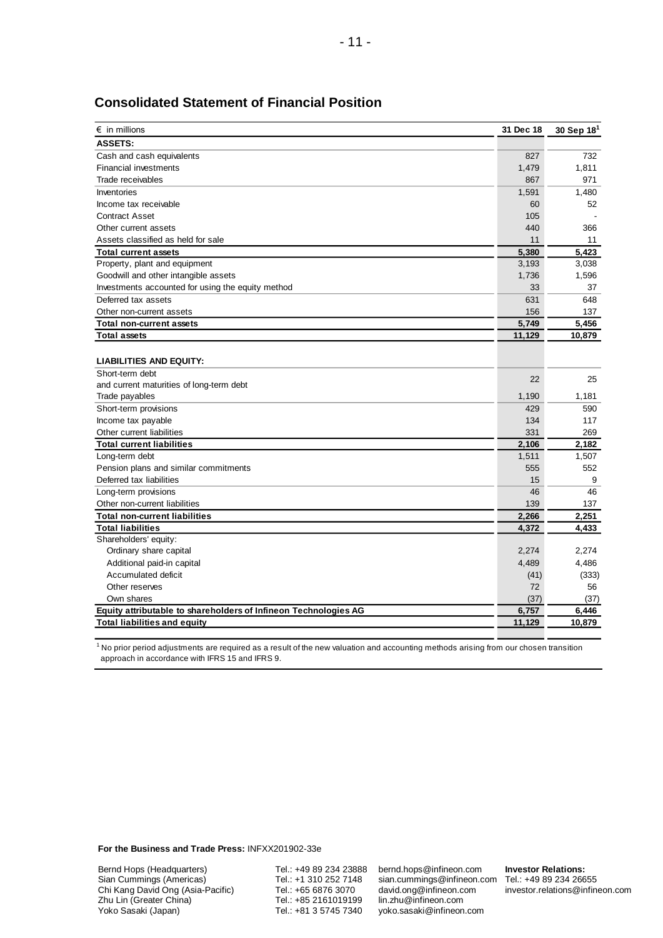| $\epsilon$ in millions                                          | 31 Dec 18 | 30 Sep $18^1$ |
|-----------------------------------------------------------------|-----------|---------------|
| <b>ASSETS:</b>                                                  |           |               |
| Cash and cash equivalents                                       | 827       | 732           |
| <b>Financial investments</b>                                    | 1,479     | 1,811         |
| Trade receivables                                               | 867       | 971           |
| Inventories                                                     | 1,591     | 1,480         |
| Income tax receivable                                           | 60        | 52            |
| <b>Contract Asset</b>                                           | 105       |               |
| Other current assets                                            | 440       | 366           |
| Assets classified as held for sale                              | 11        | 11            |
| <b>Total current assets</b>                                     | 5,380     | 5.423         |
| Property, plant and equipment                                   | 3,193     | 3,038         |
| Goodwill and other intangible assets                            | 1,736     | 1,596         |
| Investments accounted for using the equity method               | 33        | 37            |
| Deferred tax assets                                             | 631       | 648           |
| Other non-current assets                                        | 156       | 137           |
| <b>Total non-current assets</b>                                 | 5,749     | 5,456         |
| <b>Total assets</b>                                             | 11,129    | 10,879        |
|                                                                 |           |               |
| <b>LIABILITIES AND EQUITY:</b>                                  |           |               |
| Short-term debt                                                 | 22        | 25            |
| and current maturities of long-term debt                        |           |               |
| Trade payables                                                  | 1,190     | 1,181         |
| Short-term provisions                                           | 429       | 590           |
| Income tax payable                                              | 134       | 117           |
| Other current liabilities                                       | 331       | 269           |
| <b>Total current liabilities</b>                                | 2,106     | 2,182         |
| Long-term debt                                                  | 1,511     | 1,507         |
| Pension plans and similar commitments                           | 555       | 552           |
| Deferred tax liabilities                                        | 15        | 9             |
| Long-term provisions                                            | 46        | 46            |
| Other non-current liabilities                                   | 139       | 137           |
| <b>Total non-current liabilities</b>                            | 2,266     | 2,251         |
| <b>Total liabilities</b>                                        | 4,372     | 4,433         |
| Shareholders' equity:                                           |           |               |
| Ordinary share capital                                          | 2,274     | 2,274         |
| Additional paid-in capital                                      | 4,489     | 4,486         |
| Accumulated deficit                                             | (41)      | (333)         |
| Other reserves                                                  | 72        | 56            |
| Own shares                                                      | (37)      | (37)          |
| Equity attributable to shareholders of Infineon Technologies AG | 6,757     | 6,446         |
| <b>Total liabilities and equity</b>                             | 11,129    | 10,879        |

#### **Consolidated Statement of Financial Position**

 $^{\rm 1}$  No prior period adjustments are required as a result of the new valuation and accounting methods arising from our chosen transition approach in accordance with IFRS 15 and IFRS 9.

**For the Business and Trade Press:** INFXX201902-33e

Bernd Hops (Headquarters) Sian Cummings (Americas) Chi Kang David Ong (Asia-Pacific) Zhu Lin (Greater China) Yoko Sasaki (Japan)

Tel.: +49 89 234 23888 Tel.: +1 310 252 7148 Tel.: +65 6876 3070 Tel.: +85 2161019199 Tel.: +81 3 5745 7340

bernd.hops@infineon.com sian.cummings@infineon.com Tel.: +49 89 234 26655 [david.ong@infineon.com](mailto:%0ddavid.ong@infineon.com) lin.zhu@infineon.com yoko.sasaki@infineon.com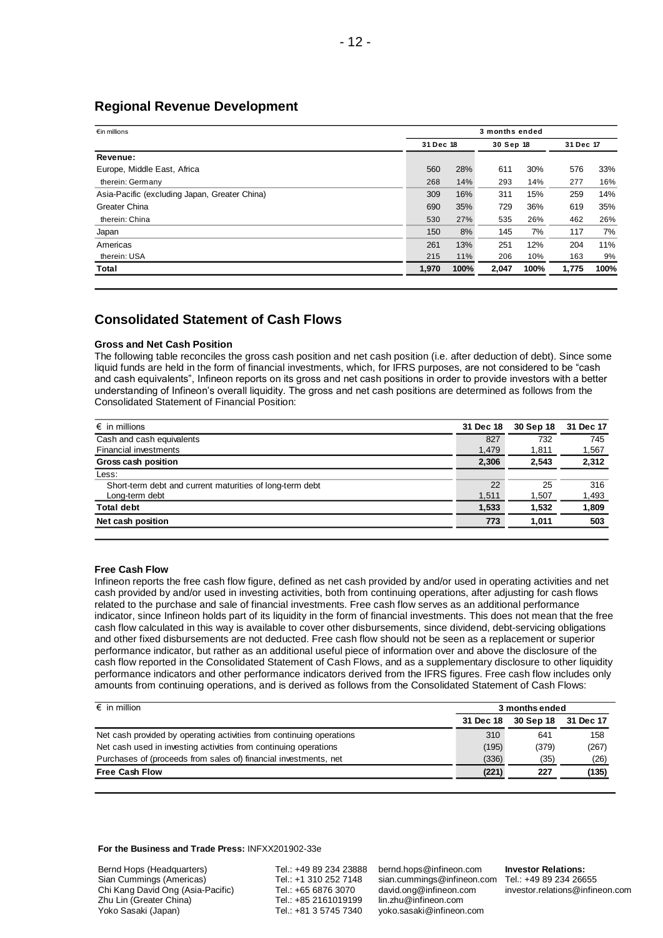### **Regional Revenue Development**

| $\epsilon$ in millions                        |           | 3 months ended |           |      |           |      |
|-----------------------------------------------|-----------|----------------|-----------|------|-----------|------|
|                                               | 31 Dec 18 |                | 30 Sep 18 |      | 31 Dec 17 |      |
| Revenue:                                      |           |                |           |      |           |      |
| Europe, Middle East, Africa                   | 560       | 28%            | 611       | 30%  | 576       | 33%  |
| therein: Germany                              | 268       | 14%            | 293       | 14%  | 277       | 16%  |
| Asia-Pacific (excluding Japan, Greater China) | 309       | 16%            | 311       | 15%  | 259       | 14%  |
| Greater China                                 | 690       | 35%            | 729       | 36%  | 619       | 35%  |
| therein: China                                | 530       | 27%            | 535       | 26%  | 462       | 26%  |
| Japan                                         | 150       | 8%             | 145       | 7%   | 117       | 7%   |
| Americas                                      | 261       | 13%            | 251       | 12%  | 204       | 11%  |
| therein: USA                                  | 215       | 11%            | 206       | 10%  | 163       | 9%   |
| Total                                         | 1,970     | 100%           | 2,047     | 100% | 1,775     | 100% |

### **Consolidated Statement of Cash Flows**

#### **Gross and Net Cash Position**

The following table reconciles the gross cash position and net cash position (i.e. after deduction of debt). Since some liquid funds are held in the form of financial investments, which, for IFRS purposes, are not considered to be "cash and cash equivalents", Infineon reports on its gross and net cash positions in order to provide investors with a better understanding of Infineon's overall liquidity. The gross and net cash positions are determined as follows from the Consolidated Statement of Financial Position:

| 31 Dec 18 | 30 Sep 18 | 31 Dec 17 |
|-----------|-----------|-----------|
| 827       | 732       | 745       |
| 1,479     | 1,811     | 1,567     |
| 2,306     | 2,543     | 2,312     |
|           |           |           |
| 22        | 25        | 316       |
| 1,511     | 1,507     | 1,493     |
| 1,533     | 1,532     | 1,809     |
| 773       | 1.011     | 503       |
|           |           |           |

#### **Free Cash Flow**

Infineon reports the free cash flow figure, defined as net cash provided by and/or used in operating activities and net cash provided by and/or used in investing activities, both from continuing operations, after adjusting for cash flows related to the purchase and sale of financial investments. Free cash flow serves as an additional performance indicator, since Infineon holds part of its liquidity in the form of financial investments. This does not mean that the free cash flow calculated in this way is available to cover other disbursements, since dividend, debt-servicing obligations and other fixed disbursements are not deducted. Free cash flow should not be seen as a replacement or superior performance indicator, but rather as an additional useful piece of information over and above the disclosure of the cash flow reported in the Consolidated Statement of Cash Flows, and as a supplementary disclosure to other liquidity performance indicators and other performance indicators derived from the IFRS figures. Free cash flow includes only amounts from continuing operations, and is derived as follows from the Consolidated Statement of Cash Flows:

| $\epsilon$ in million                                                |           |           | 3 months ended |  |  |
|----------------------------------------------------------------------|-----------|-----------|----------------|--|--|
|                                                                      | 31 Dec 18 | 30 Sep 18 | 31 Dec 17      |  |  |
| Net cash provided by operating activities from continuing operations | 310       | 641       | 158            |  |  |
| Net cash used in investing activities from continuing operations     | (195)     | (379)     | (267)          |  |  |
| Purchases of (proceeds from sales of) financial investments, net     | (336)     | (35)      | (26)           |  |  |
| <b>Free Cash Flow</b>                                                | (221)     | 227       | (135)          |  |  |

#### **For the Business and Trade Press:** INFXX201902-33e

Bernd Hops (Headquarters) Sian Cummings (Americas) Chi Kang David Ong (Asia-Pacific) Zhu Lin (Greater China) Yoko Sasaki (Japan)

Tel.: +49 89 234 23888 Tel.: +1 310 252 7148 Tel.: +65 6876 3070 Tel.: +85 2161019199 Tel.: +81 3 5745 7340

bernd.hops@infineon.com sian.cummings@infineon.com [david.ong@infineon.com](mailto:%0ddavid.ong@infineon.com) lin.zhu@infineon.com yoko.sasaki@infineon.com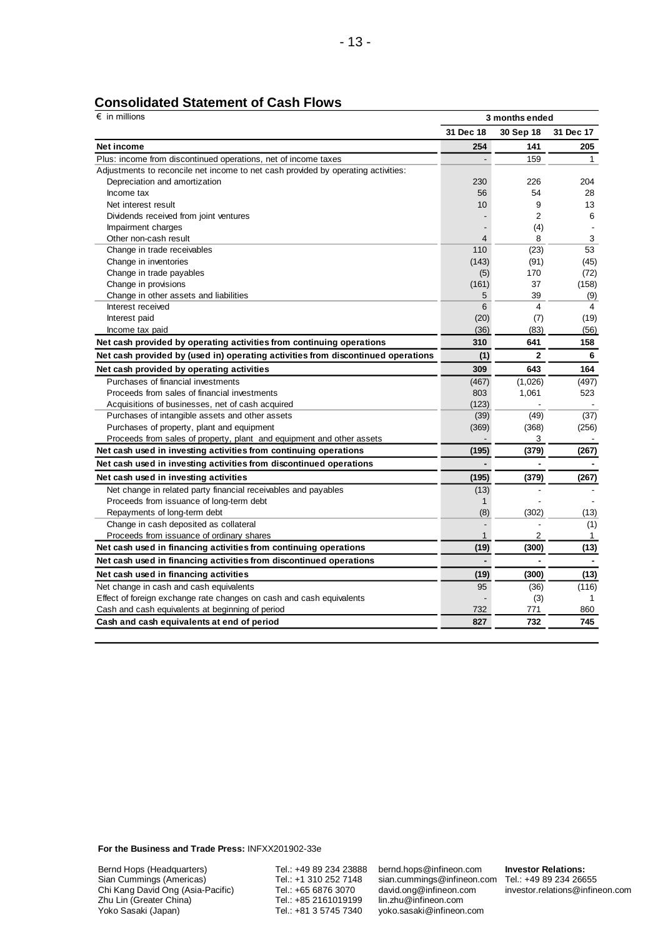| $\epsilon$ in millions                                                            | 3 months ended |                |                |  |
|-----------------------------------------------------------------------------------|----------------|----------------|----------------|--|
|                                                                                   | 31 Dec 18      | 30 Sep 18      | 31 Dec 17      |  |
| Net income                                                                        | 254            | 141            | 205            |  |
| Plus: income from discontinued operations, net of income taxes                    |                | 159            | 1              |  |
| Adjustments to reconcile net income to net cash provided by operating activities: |                |                |                |  |
| Depreciation and amortization                                                     | 230            | 226            | 204            |  |
| Income tax                                                                        | 56             | 54             | 28             |  |
| Net interest result                                                               | 10             | 9              | 13             |  |
| Dividends received from joint ventures                                            |                | $\overline{2}$ | 6              |  |
| Impairment charges                                                                |                | (4)            |                |  |
| Other non-cash result                                                             | $\overline{4}$ | 8              | 3              |  |
| Change in trade receivables                                                       | 110            | (23)           | 53             |  |
| Change in inventories                                                             | (143)          | (91)           | (45)           |  |
| Change in trade payables                                                          | (5)            | 170            | (72)           |  |
| Change in provisions                                                              | (161)          | 37             | (158)          |  |
| Change in other assets and liabilities                                            | 5              | 39             | (9)            |  |
| Interest received                                                                 | 6              | $\overline{4}$ | 4              |  |
| Interest paid                                                                     | (20)           | (7)            | (19)           |  |
| Income tax paid                                                                   | (36)           | (83)           | (56)           |  |
| Net cash provided by operating activities from continuing operations              | 310            | 641            | 158            |  |
| Net cash provided by (used in) operating activities from discontinued operations  | (1)            | $\mathbf{2}$   | 6              |  |
| Net cash provided by operating activities                                         | 309            | 643            | 164            |  |
| Purchases of financial investments                                                | (467)          | (1,026)        | (497)          |  |
| Proceeds from sales of financial investments                                      | 803            | 1,061          | 523            |  |
| Acquisitions of businesses, net of cash acquired                                  | (123)          |                |                |  |
| Purchases of intangible assets and other assets                                   | (39)           | (49)           | (37)           |  |
| Purchases of property, plant and equipment                                        | (369)          | (368)          | (256)          |  |
| Proceeds from sales of property, plant and equipment and other assets             |                | 3              |                |  |
| Net cash used in investing activities from continuing operations                  | (195)          | (379)          | (267)          |  |
| Net cash used in investing activities from discontinued operations                |                |                |                |  |
| Net cash used in investing activities                                             | (195)          | (379)          | (267)          |  |
| Net change in related party financial receivables and payables                    | (13)           |                |                |  |
| Proceeds from issuance of long-term debt                                          | 1              |                |                |  |
| Repayments of long-term debt                                                      | (8)            | (302)          | (13)           |  |
| Change in cash deposited as collateral                                            |                |                | (1)            |  |
| Proceeds from issuance of ordinary shares                                         | $\mathbf{1}$   | $\overline{2}$ | $\mathbf{1}$   |  |
| Net cash used in financing activities from continuing operations                  | (19)           | (300)          | (13)           |  |
| Net cash used in financing activities from discontinued operations                | $\blacksquare$ | $\blacksquare$ | $\blacksquare$ |  |
| Net cash used in financing activities                                             | (19)           | (300)          | (13)           |  |
| Net change in cash and cash equivalents                                           | 95             | (36)           | (116)          |  |
| Effect of foreign exchange rate changes on cash and cash equivalents              |                | (3)            | $\mathbf{1}$   |  |
| Cash and cash equivalents at beginning of period                                  | 732            | 771            | 860            |  |
| Cash and cash equivalents at end of period                                        | 827            | 732            | 745            |  |

### **Consolidated Statement of Cash Flows**

**For the Business and Trade Press:** INFXX201902-33e

Bernd Hops (Headquarters) Sian Cummings (Americas) Chi Kang David Ong (Asia-Pacific) Zhu Lin (Greater China) Yoko Sasaki (Japan)

Tel.: +49 89 234 23888 Tel.: +1 310 252 7148 Tel.: +65 6876 3070 Tel.: +85 2161019199 Tel.: +81 3 5745 7340

bernd.hops@infineon.com sian.cummings@infineon.com [david.ong@infineon.com](mailto:%0ddavid.ong@infineon.com) lin.zhu@infineon.com yoko.sasaki@infineon.com